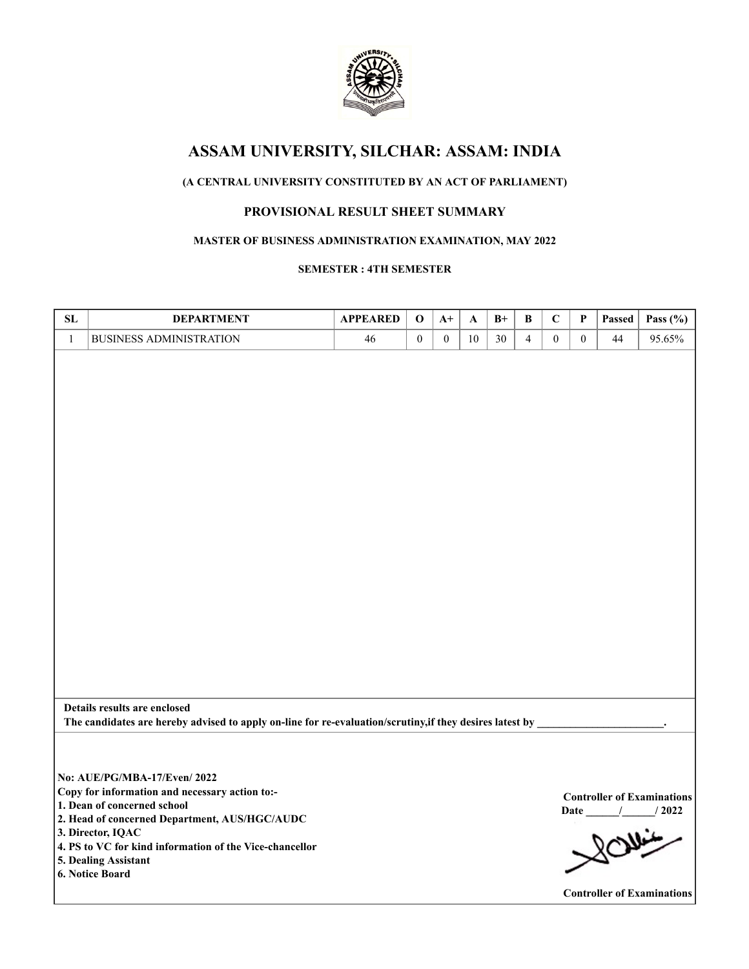

# **ASSAM UNIVERSITY, SILCHAR: ASSAM: INDIA**

## **(A CENTRAL UNIVERSITY CONSTITUTED BY AN ACT OF PARLIAMENT)**

## **PROVISIONAL RESULT SHEET SUMMARY**

### **MASTER OF BUSINESS ADMINISTRATION EXAMINATION, MAY 2022**

#### **SEMESTER : 4TH SEMESTER**

| SL           | <b>DEPARTMENT</b>                                                                                                                                                                                                                                                                        | <b>APPEARED</b> | $\bf{0}$         | $A+$         | A  | $B+$ | B              | $\mathbf C$  | P            | Passed | Pass $(\% )$                                                                                        |
|--------------|------------------------------------------------------------------------------------------------------------------------------------------------------------------------------------------------------------------------------------------------------------------------------------------|-----------------|------------------|--------------|----|------|----------------|--------------|--------------|--------|-----------------------------------------------------------------------------------------------------|
| $\mathbf{1}$ | <b>BUSINESS ADMINISTRATION</b>                                                                                                                                                                                                                                                           | 46              | $\boldsymbol{0}$ | $\mathbf{0}$ | 10 | 30   | $\overline{4}$ | $\mathbf{0}$ | $\mathbf{0}$ | 44     | 95.65%                                                                                              |
|              | Details results are enclosed                                                                                                                                                                                                                                                             |                 |                  |              |    |      |                |              |              |        |                                                                                                     |
|              | The candidates are hereby advised to apply on-line for re-evaluation/scrutiny, if they desires latest by _                                                                                                                                                                               |                 |                  |              |    |      |                |              |              |        |                                                                                                     |
|              | No: AUE/PG/MBA-17/Even/2022<br>Copy for information and necessary action to:-<br>1. Dean of concerned school<br>2. Head of concerned Department, AUS/HGC/AUDC<br>3. Director, IQAC<br>4. PS to VC for kind information of the Vice-chancellor<br>5. Dealing Assistant<br>6. Notice Board |                 |                  |              |    |      |                |              |              |        | <b>Controller of Examinations</b><br>$/$ $/$ $/$ 2022<br>Rowin<br><b>Controller of Examinations</b> |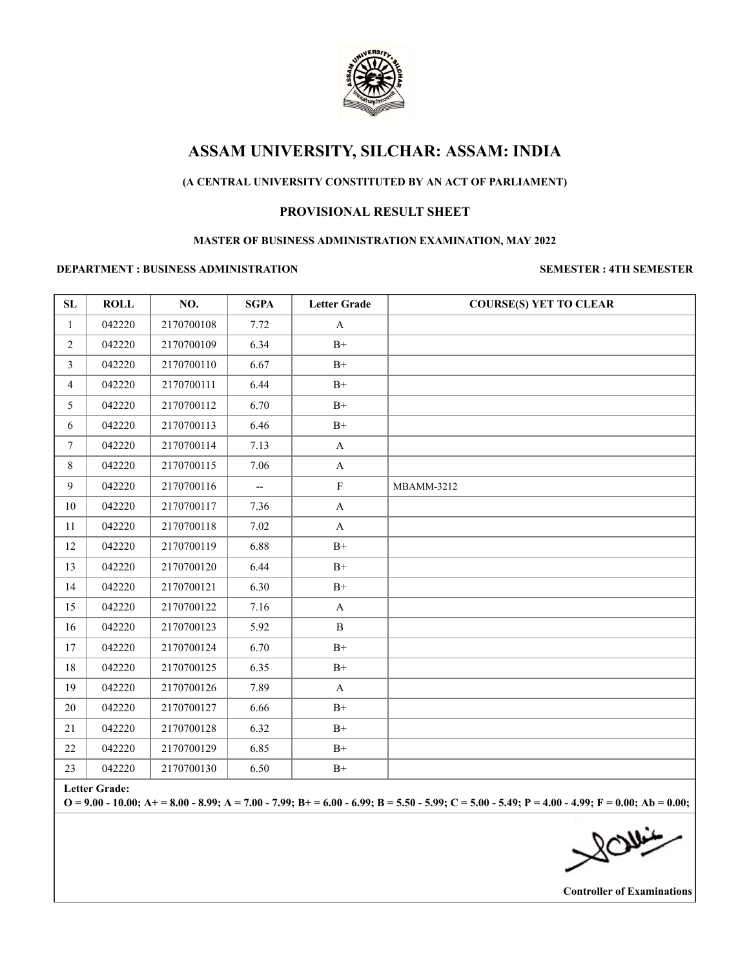

# **ASSAM UNIVERSITY, SILCHAR: ASSAM: INDIA**

## **(A CENTRAL UNIVERSITY CONSTITUTED BY AN ACT OF PARLIAMENT)**

### **PROVISIONAL RESULT SHEET**

#### **MASTER OF BUSINESS ADMINISTRATION EXAMINATION, MAY 2022**

#### **DEPARTMENT : BUSINESS ADMINISTRATION SEMESTER : 4TH SEMESTER**

| SL             | <b>ROLL</b> | NO.        | <b>SGPA</b>              | <b>Letter Grade</b>   | <b>COURSE(S) YET TO CLEAR</b> |
|----------------|-------------|------------|--------------------------|-----------------------|-------------------------------|
| $\mathbf{1}$   | 042220      | 2170700108 | 7.72                     | $\mathbf{A}$          |                               |
| $\overline{2}$ | 042220      | 2170700109 | 6.34                     | $B+$                  |                               |
| $\mathfrak{Z}$ | 042220      | 2170700110 | 6.67                     | $\mathrm{B}^{+}$      |                               |
| $\overline{4}$ | 042220      | 2170700111 | 6.44                     | $B+$                  |                               |
| 5              | 042220      | 2170700112 | 6.70                     | $\mathrm{B}^{+}$      |                               |
| 6              | 042220      | 2170700113 | 6.46                     | $\mathrm{B}^{+}$      |                               |
| $\tau$         | 042220      | 2170700114 | 7.13                     | $\mathbf{A}$          |                               |
| $8\,$          | 042220      | 2170700115 | 7.06                     | $\mathbf A$           |                               |
| $\overline{9}$ | 042220      | 2170700116 | $\overline{\phantom{a}}$ | $\rm F$               | MBAMM-3212                    |
| 10             | 042220      | 2170700117 | 7.36                     | $\boldsymbol{\rm{A}}$ |                               |
| 11             | 042220      | 2170700118 | 7.02                     | $\mathbf{A}$          |                               |
| 12             | 042220      | 2170700119 | 6.88                     | $\mathrm{B}^{+}$      |                               |
| 13             | 042220      | 2170700120 | 6.44                     | $\mathrm{B}^{+}$      |                               |
| 14             | 042220      | 2170700121 | 6.30                     | $\mathrm{B}^{+}$      |                               |
| 15             | 042220      | 2170700122 | 7.16                     | $\mathbf A$           |                               |
| 16             | 042220      | 2170700123 | 5.92                     | $\, {\bf B}$          |                               |
| 17             | 042220      | 2170700124 | 6.70                     | $\rm B^+$             |                               |
| 18             | 042220      | 2170700125 | 6.35                     | $B+$                  |                               |
| 19             | 042220      | 2170700126 | 7.89                     | $\mathbf A$           |                               |
| 20             | 042220      | 2170700127 | 6.66                     | $\mathrm{B}^{+}$      |                               |
| 21             | 042220      | 2170700128 | 6.32                     | $\rm B+$              |                               |
| $22\,$         | 042220      | 2170700129 | 6.85                     | $\mathrm{B}^{+}$      |                               |
| 23             | 042220      | 2170700130 | 6.50                     | $\mathrm{B}^{+}$      |                               |

**Letter Grade:**

**O = 9.00 - 10.00; A+ = 8.00 - 8.99; A = 7.00 - 7.99; B+ = 6.00 - 6.99; B = 5.50 - 5.99; C = 5.00 - 5.49; P = 4.00 - 4.99; F = 0.00; Ab = 0.00;**

**Controller of Examinations**